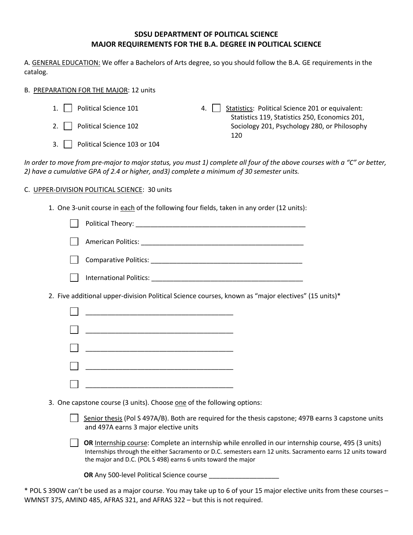# **SDSU DEPARTMENT OF POLITICAL SCIENCE MAJOR REQUIREMENTS FOR THE B.A. DEGREE IN POLITICAL SCIENCE**

A. GENERAL EDUCATION: We offer a Bachelors of Arts degree, so you should follow the B.A. GE requirements in the catalog.

## B. PREPARATION FOR THE MAJOR: 12 units

1. Political Science 101 2. Political Science 102 3. Political Science 103 or 104 4. Statistics: Political Science 201 or equivalent: Statistics 119, Statistics 250, Economics 201, Sociology 201, Psychology 280, or Philosophy 120

*In order to move from pre-major to major status, you must 1) complete all four of the above courses with a "C" or better, 2) have a cumulative GPA of 2.4 or higher, and3) complete a minimum of 30 semester units.*

# C. UPPER-DIVISION POLITICAL SCIENCE: 30 units

1. One 3-unit course in each of the following four fields, taken in any order (12 units):

| 2. Five additional upper-division Political Science courses, known as "major electives" (15 units)*                                                                                                                                                                                 |
|-------------------------------------------------------------------------------------------------------------------------------------------------------------------------------------------------------------------------------------------------------------------------------------|
|                                                                                                                                                                                                                                                                                     |
| <u> 1980 - Johann John Stone, markin film yn y brening yn y brening yn y brening yn y brening yn y brening yn y b</u>                                                                                                                                                               |
|                                                                                                                                                                                                                                                                                     |
| <u> 1989 - Johann John Stone, markin film yn y breninnas yn y breninnas y breninnas y breninnas y breninnas y bre</u>                                                                                                                                                               |
|                                                                                                                                                                                                                                                                                     |
| 3. One capstone course (3 units). Choose one of the following options:                                                                                                                                                                                                              |
| Senior thesis (Pol S 497A/B). Both are required for the thesis capstone; 497B earns 3 capstone units<br>and 497A earns 3 major elective units                                                                                                                                       |
| OR Internship course: Complete an internship while enrolled in our internship course, 495 (3 units)<br>Internships through the either Sacramento or D.C. semesters earn 12 units. Sacramento earns 12 units toward<br>the major and D.C. (POL S 498) earns 6 units toward the major |
| OR Any 500-level Political Science course                                                                                                                                                                                                                                           |

\* POL S 390W can't be used as a major course. You may take up to 6 of your 15 major elective units from these courses – WMNST 375, AMIND 485, AFRAS 321, and AFRAS 322 – but this is not required.